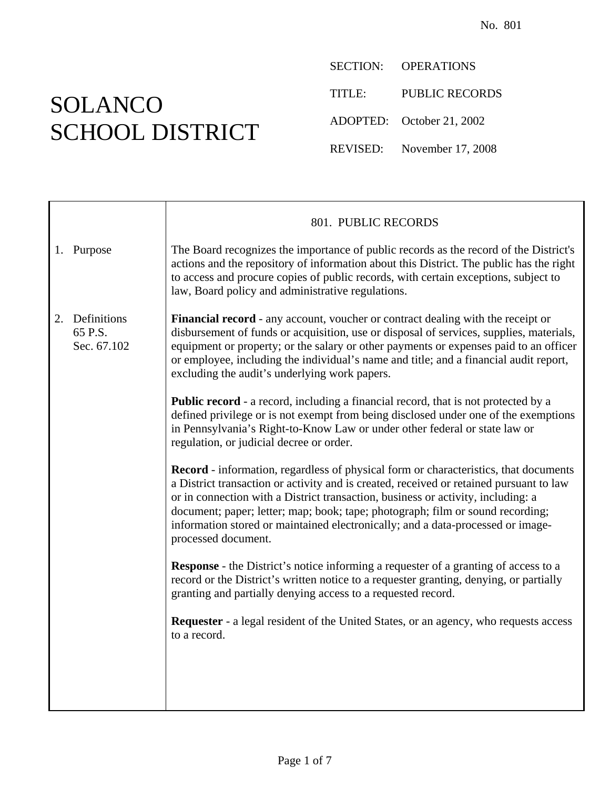## SOLANCO SCHOOL DISTRICT

SECTION: OPERATIONS TITLE: PUBLIC RECORDS ADOPTED: October 21, 2002 REVISED: November 17, 2008

|                                             | 801. PUBLIC RECORDS                                                                                                                                                                                                                                                                                                                                                                                                                                                    |
|---------------------------------------------|------------------------------------------------------------------------------------------------------------------------------------------------------------------------------------------------------------------------------------------------------------------------------------------------------------------------------------------------------------------------------------------------------------------------------------------------------------------------|
| 1. Purpose                                  | The Board recognizes the importance of public records as the record of the District's<br>actions and the repository of information about this District. The public has the right<br>to access and procure copies of public records, with certain exceptions, subject to<br>law, Board policy and administrative regulations.                                                                                                                                           |
| Definitions<br>2.<br>65 P.S.<br>Sec. 67.102 | Financial record - any account, voucher or contract dealing with the receipt or<br>disbursement of funds or acquisition, use or disposal of services, supplies, materials,<br>equipment or property; or the salary or other payments or expenses paid to an officer<br>or employee, including the individual's name and title; and a financial audit report,<br>excluding the audit's underlying work papers.                                                          |
|                                             | <b>Public record</b> - a record, including a financial record, that is not protected by a<br>defined privilege or is not exempt from being disclosed under one of the exemptions<br>in Pennsylvania's Right-to-Know Law or under other federal or state law or<br>regulation, or judicial decree or order.                                                                                                                                                             |
|                                             | <b>Record</b> - information, regardless of physical form or characteristics, that documents<br>a District transaction or activity and is created, received or retained pursuant to law<br>or in connection with a District transaction, business or activity, including: a<br>document; paper; letter; map; book; tape; photograph; film or sound recording;<br>information stored or maintained electronically; and a data-processed or image-<br>processed document. |
|                                             | <b>Response</b> - the District's notice informing a requester of a granting of access to a<br>record or the District's written notice to a requester granting, denying, or partially<br>granting and partially denying access to a requested record.                                                                                                                                                                                                                   |
|                                             | <b>Requester</b> - a legal resident of the United States, or an agency, who requests access<br>to a record.                                                                                                                                                                                                                                                                                                                                                            |
|                                             |                                                                                                                                                                                                                                                                                                                                                                                                                                                                        |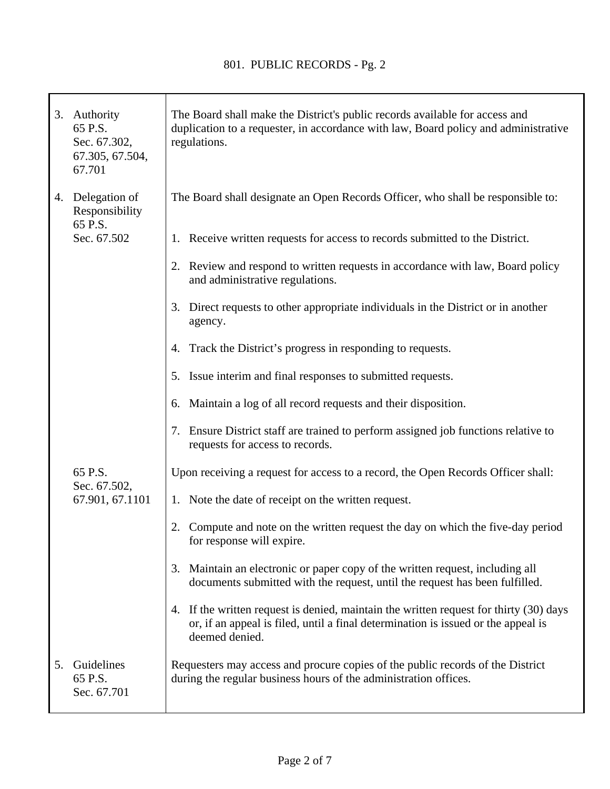T

|    | 3. Authority<br>65 P.S.<br>Sec. 67.302,<br>67.305, 67.504,<br>67.701 | The Board shall make the District's public records available for access and<br>duplication to a requester, in accordance with law, Board policy and administrative<br>regulations.                                                                                                      |
|----|----------------------------------------------------------------------|-----------------------------------------------------------------------------------------------------------------------------------------------------------------------------------------------------------------------------------------------------------------------------------------|
|    | 4. Delegation of<br>Responsibility<br>65 P.S.<br>Sec. 67.502         | The Board shall designate an Open Records Officer, who shall be responsible to:<br>1. Receive written requests for access to records submitted to the District.<br>Review and respond to written requests in accordance with law, Board policy<br>2.<br>and administrative regulations. |
|    |                                                                      | Direct requests to other appropriate individuals in the District or in another<br>3.<br>agency.                                                                                                                                                                                         |
|    |                                                                      | Track the District's progress in responding to requests.<br>4.                                                                                                                                                                                                                          |
|    |                                                                      | Issue interim and final responses to submitted requests.<br>5.                                                                                                                                                                                                                          |
|    |                                                                      | Maintain a log of all record requests and their disposition.<br>6.                                                                                                                                                                                                                      |
|    |                                                                      | Ensure District staff are trained to perform assigned job functions relative to<br>7.<br>requests for access to records.                                                                                                                                                                |
|    | 65 P.S.<br>Sec. 67.502,<br>67.901, 67.1101                           | Upon receiving a request for access to a record, the Open Records Officer shall:                                                                                                                                                                                                        |
|    |                                                                      | 1. Note the date of receipt on the written request.                                                                                                                                                                                                                                     |
|    |                                                                      | Compute and note on the written request the day on which the five-day period<br>for response will expire.                                                                                                                                                                               |
|    |                                                                      | 3. Maintain an electronic or paper copy of the written request, including all<br>documents submitted with the request, until the request has been fulfilled.                                                                                                                            |
|    |                                                                      | 4. If the written request is denied, maintain the written request for thirty (30) days<br>or, if an appeal is filed, until a final determination is issued or the appeal is<br>deemed denied.                                                                                           |
| 5. | Guidelines<br>65 P.S.<br>Sec. 67.701                                 | Requesters may access and procure copies of the public records of the District<br>during the regular business hours of the administration offices.                                                                                                                                      |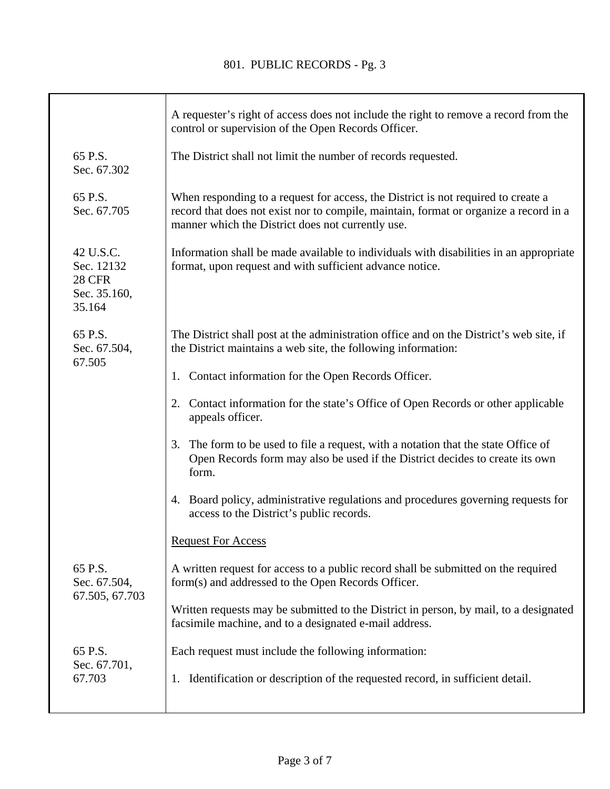|                                                                    | A requester's right of access does not include the right to remove a record from the<br>control or supervision of the Open Records Officer.                                                                                     |
|--------------------------------------------------------------------|---------------------------------------------------------------------------------------------------------------------------------------------------------------------------------------------------------------------------------|
| 65 P.S.<br>Sec. 67.302                                             | The District shall not limit the number of records requested.                                                                                                                                                                   |
| 65 P.S.<br>Sec. 67.705                                             | When responding to a request for access, the District is not required to create a<br>record that does not exist nor to compile, maintain, format or organize a record in a<br>manner which the District does not currently use. |
| 42 U.S.C.<br>Sec. 12132<br><b>28 CFR</b><br>Sec. 35.160,<br>35.164 | Information shall be made available to individuals with disabilities in an appropriate<br>format, upon request and with sufficient advance notice.                                                                              |
| 65 P.S.<br>Sec. 67.504,<br>67.505                                  | The District shall post at the administration office and on the District's web site, if<br>the District maintains a web site, the following information:                                                                        |
|                                                                    | 1. Contact information for the Open Records Officer.                                                                                                                                                                            |
|                                                                    | Contact information for the state's Office of Open Records or other applicable<br>2.<br>appeals officer.                                                                                                                        |
|                                                                    | The form to be used to file a request, with a notation that the state Office of<br>3.<br>Open Records form may also be used if the District decides to create its own<br>form.                                                  |
|                                                                    | Board policy, administrative regulations and procedures governing requests for<br>4.<br>access to the District's public records.                                                                                                |
|                                                                    | <b>Request For Access</b>                                                                                                                                                                                                       |
| 65 P.S.<br>Sec. 67.504,<br>67.505, 67.703                          | A written request for access to a public record shall be submitted on the required<br>form(s) and addressed to the Open Records Officer.                                                                                        |
|                                                                    | Written requests may be submitted to the District in person, by mail, to a designated<br>facsimile machine, and to a designated e-mail address.                                                                                 |
| 65 P.S.<br>Sec. 67.701,                                            | Each request must include the following information:                                                                                                                                                                            |
| 67.703                                                             | 1. Identification or description of the requested record, in sufficient detail.                                                                                                                                                 |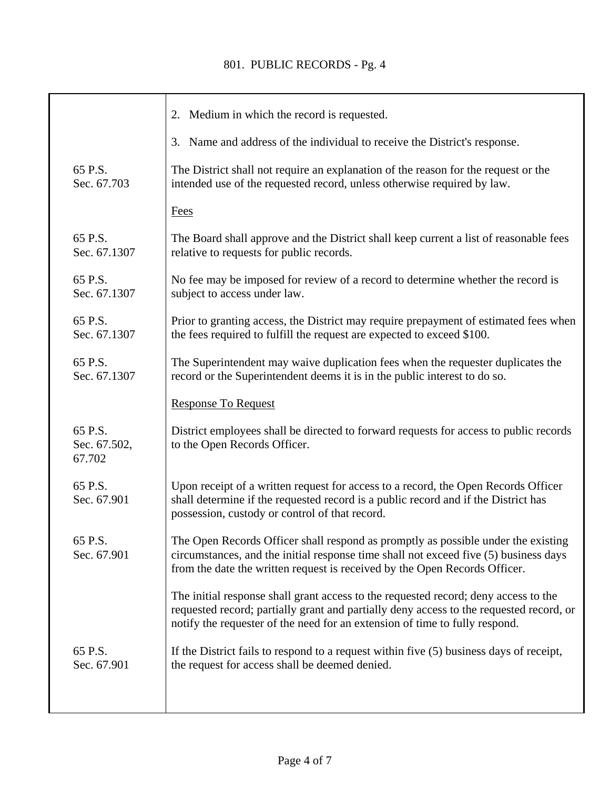## 801. PUBLIC RECORDS - Pg. 4

|                                   | 2. Medium in which the record is requested.                                                                                                                                                                                                                   |
|-----------------------------------|---------------------------------------------------------------------------------------------------------------------------------------------------------------------------------------------------------------------------------------------------------------|
|                                   | 3. Name and address of the individual to receive the District's response.                                                                                                                                                                                     |
| 65 P.S.<br>Sec. 67.703            | The District shall not require an explanation of the reason for the request or the<br>intended use of the requested record, unless otherwise required by law.                                                                                                 |
|                                   | Fees                                                                                                                                                                                                                                                          |
| 65 P.S.<br>Sec. 67.1307           | The Board shall approve and the District shall keep current a list of reasonable fees<br>relative to requests for public records.                                                                                                                             |
| 65 P.S.<br>Sec. 67.1307           | No fee may be imposed for review of a record to determine whether the record is<br>subject to access under law.                                                                                                                                               |
| 65 P.S.<br>Sec. 67.1307           | Prior to granting access, the District may require prepayment of estimated fees when<br>the fees required to fulfill the request are expected to exceed \$100.                                                                                                |
| 65 P.S.<br>Sec. 67.1307           | The Superintendent may waive duplication fees when the requester duplicates the<br>record or the Superintendent deems it is in the public interest to do so.                                                                                                  |
|                                   | <b>Response To Request</b>                                                                                                                                                                                                                                    |
| 65 P.S.<br>Sec. 67.502,<br>67.702 | District employees shall be directed to forward requests for access to public records<br>to the Open Records Officer.                                                                                                                                         |
| 65 P.S.<br>Sec. 67.901            | Upon receipt of a written request for access to a record, the Open Records Officer<br>shall determine if the requested record is a public record and if the District has<br>possession, custody or control of that record.                                    |
| 65 P.S.<br>Sec. 67.901            | The Open Records Officer shall respond as promptly as possible under the existing<br>circumstances, and the initial response time shall not exceed five (5) business days<br>from the date the written request is received by the Open Records Officer.       |
|                                   | The initial response shall grant access to the requested record; deny access to the<br>requested record; partially grant and partially deny access to the requested record, or<br>notify the requester of the need for an extension of time to fully respond. |
| 65 P.S.<br>Sec. 67.901            | If the District fails to respond to a request within five $(5)$ business days of receipt,<br>the request for access shall be deemed denied.                                                                                                                   |
|                                   |                                                                                                                                                                                                                                                               |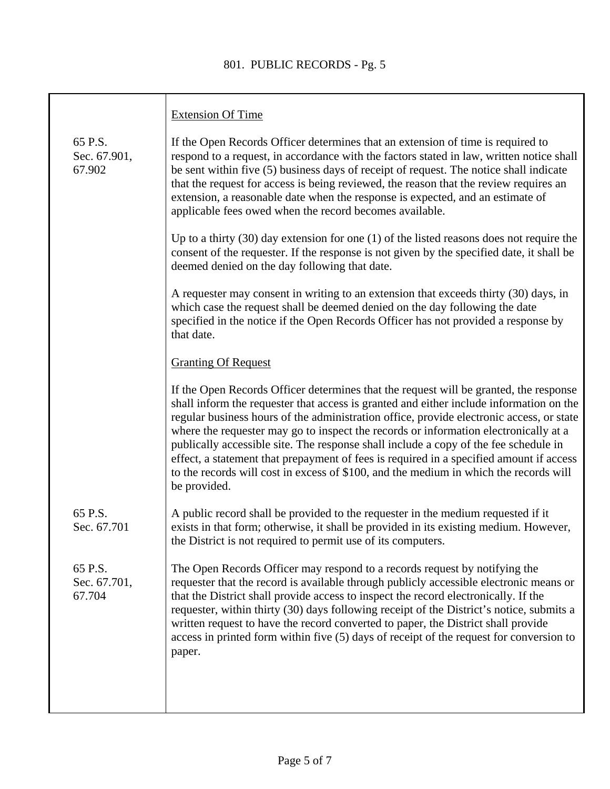## 801. PUBLIC RECORDS - Pg. 5

|                                   | <b>Extension Of Time</b>                                                                                                                                                                                                                                                                                                                                                                                                                                                                                                                                                                                                                                         |
|-----------------------------------|------------------------------------------------------------------------------------------------------------------------------------------------------------------------------------------------------------------------------------------------------------------------------------------------------------------------------------------------------------------------------------------------------------------------------------------------------------------------------------------------------------------------------------------------------------------------------------------------------------------------------------------------------------------|
| 65 P.S.<br>Sec. 67.901,<br>67.902 | If the Open Records Officer determines that an extension of time is required to<br>respond to a request, in accordance with the factors stated in law, written notice shall<br>be sent within five (5) business days of receipt of request. The notice shall indicate<br>that the request for access is being reviewed, the reason that the review requires an<br>extension, a reasonable date when the response is expected, and an estimate of<br>applicable fees owed when the record becomes available.                                                                                                                                                      |
|                                   | Up to a thirty $(30)$ day extension for one $(1)$ of the listed reasons does not require the<br>consent of the requester. If the response is not given by the specified date, it shall be<br>deemed denied on the day following that date.                                                                                                                                                                                                                                                                                                                                                                                                                       |
|                                   | A requester may consent in writing to an extension that exceeds thirty (30) days, in<br>which case the request shall be deemed denied on the day following the date<br>specified in the notice if the Open Records Officer has not provided a response by<br>that date.                                                                                                                                                                                                                                                                                                                                                                                          |
|                                   | <b>Granting Of Request</b>                                                                                                                                                                                                                                                                                                                                                                                                                                                                                                                                                                                                                                       |
|                                   | If the Open Records Officer determines that the request will be granted, the response<br>shall inform the requester that access is granted and either include information on the<br>regular business hours of the administration office, provide electronic access, or state<br>where the requester may go to inspect the records or information electronically at a<br>publically accessible site. The response shall include a copy of the fee schedule in<br>effect, a statement that prepayment of fees is required in a specified amount if access<br>to the records will cost in excess of \$100, and the medium in which the records will<br>be provided. |
| 65 P.S.<br>Sec. 67.701            | A public record shall be provided to the requester in the medium requested if it<br>exists in that form; otherwise, it shall be provided in its existing medium. However,<br>the District is not required to permit use of its computers.                                                                                                                                                                                                                                                                                                                                                                                                                        |
| 65 P.S.<br>Sec. 67.701,<br>67.704 | The Open Records Officer may respond to a records request by notifying the<br>requester that the record is available through publicly accessible electronic means or<br>that the District shall provide access to inspect the record electronically. If the<br>requester, within thirty (30) days following receipt of the District's notice, submits a<br>written request to have the record converted to paper, the District shall provide<br>access in printed form within five (5) days of receipt of the request for conversion to<br>paper.                                                                                                                |
|                                   |                                                                                                                                                                                                                                                                                                                                                                                                                                                                                                                                                                                                                                                                  |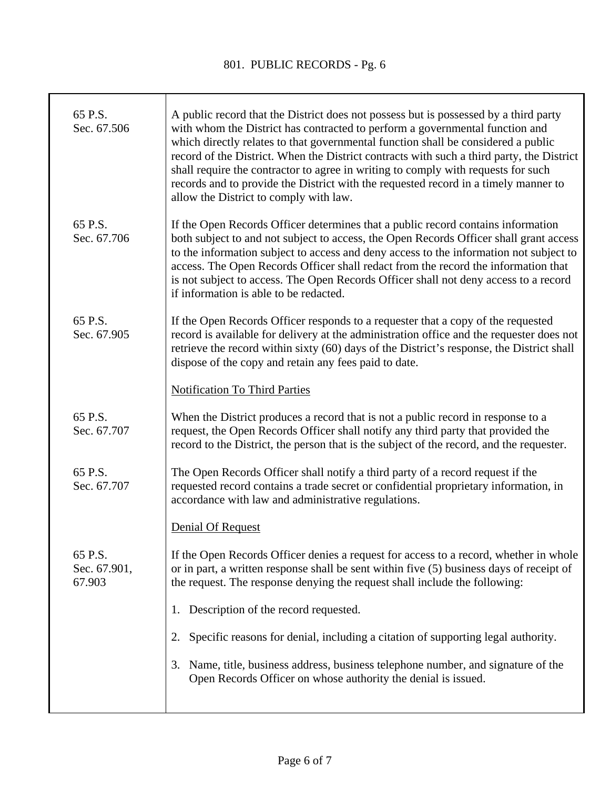T

| 65 P.S.<br>Sec. 67.506            | A public record that the District does not possess but is possessed by a third party<br>with whom the District has contracted to perform a governmental function and<br>which directly relates to that governmental function shall be considered a public<br>record of the District. When the District contracts with such a third party, the District<br>shall require the contractor to agree in writing to comply with requests for such<br>records and to provide the District with the requested record in a timely manner to<br>allow the District to comply with law. |
|-----------------------------------|------------------------------------------------------------------------------------------------------------------------------------------------------------------------------------------------------------------------------------------------------------------------------------------------------------------------------------------------------------------------------------------------------------------------------------------------------------------------------------------------------------------------------------------------------------------------------|
| 65 P.S.<br>Sec. 67.706            | If the Open Records Officer determines that a public record contains information<br>both subject to and not subject to access, the Open Records Officer shall grant access<br>to the information subject to access and deny access to the information not subject to<br>access. The Open Records Officer shall redact from the record the information that<br>is not subject to access. The Open Records Officer shall not deny access to a record<br>if information is able to be redacted.                                                                                 |
| 65 P.S.<br>Sec. 67.905            | If the Open Records Officer responds to a requester that a copy of the requested<br>record is available for delivery at the administration office and the requester does not<br>retrieve the record within sixty (60) days of the District's response, the District shall<br>dispose of the copy and retain any fees paid to date.                                                                                                                                                                                                                                           |
|                                   | Notification To Third Parties                                                                                                                                                                                                                                                                                                                                                                                                                                                                                                                                                |
| 65 P.S.<br>Sec. 67.707            | When the District produces a record that is not a public record in response to a<br>request, the Open Records Officer shall notify any third party that provided the<br>record to the District, the person that is the subject of the record, and the requester.                                                                                                                                                                                                                                                                                                             |
| 65 P.S.<br>Sec. 67.707            | The Open Records Officer shall notify a third party of a record request if the<br>requested record contains a trade secret or confidential proprietary information, in<br>accordance with law and administrative regulations.                                                                                                                                                                                                                                                                                                                                                |
|                                   | Denial Of Request                                                                                                                                                                                                                                                                                                                                                                                                                                                                                                                                                            |
| 65 P.S.<br>Sec. 67.901,<br>67.903 | If the Open Records Officer denies a request for access to a record, whether in whole<br>or in part, a written response shall be sent within five (5) business days of receipt of<br>the request. The response denying the request shall include the following:                                                                                                                                                                                                                                                                                                              |
|                                   | 1. Description of the record requested.                                                                                                                                                                                                                                                                                                                                                                                                                                                                                                                                      |
|                                   | Specific reasons for denial, including a citation of supporting legal authority.                                                                                                                                                                                                                                                                                                                                                                                                                                                                                             |
|                                   | Name, title, business address, business telephone number, and signature of the<br>3.<br>Open Records Officer on whose authority the denial is issued.                                                                                                                                                                                                                                                                                                                                                                                                                        |
|                                   |                                                                                                                                                                                                                                                                                                                                                                                                                                                                                                                                                                              |